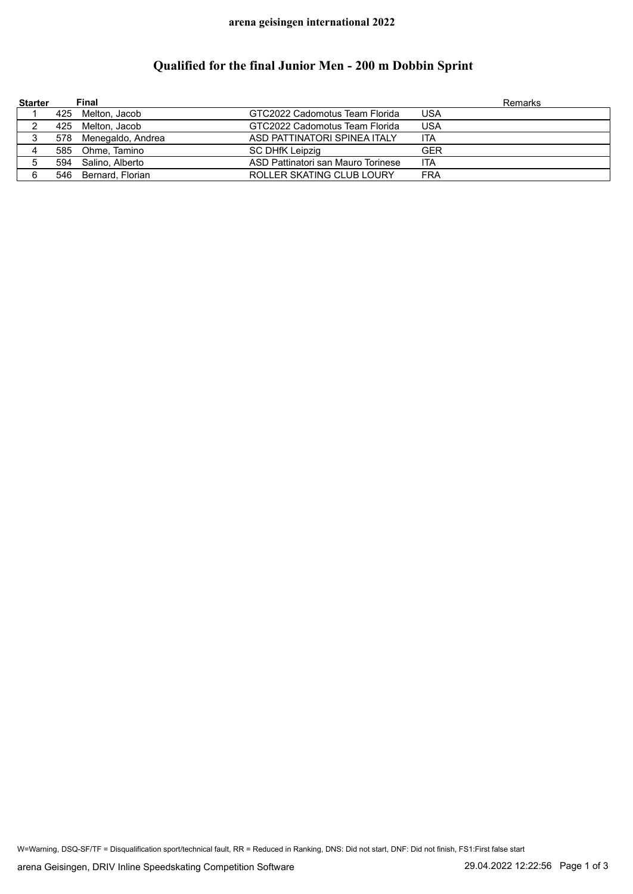### **arena geisingen international 2022**

# **Qualified for the final Junior Men - 200 m Dobbin Sprint**

| <b>Starter</b> | Final                 |                                    | <b>Remarks</b> |
|----------------|-----------------------|------------------------------------|----------------|
|                | 425 Melton, Jacob     | GTC2022 Cadomotus Team Florida     | USA            |
|                | 425 Melton, Jacob     | GTC2022 Cadomotus Team Florida     | <b>USA</b>     |
| 3              | 578 Menegaldo, Andrea | ASD PATTINATORI SPINEA ITALY       | ITA            |
|                | 585 Ohme, Tamino      | <b>SC DHfK Leipzig</b>             | <b>GER</b>     |
|                | 594 Salino, Alberto   | ASD Pattinatori san Mauro Torinese | ITA            |
| 6              | 546 Bernard, Florian  | ROLLER SKATING CLUB LOURY          | FRA            |

W=Warning, DSQ-SF/TF = Disqualification sport/technical fault, RR = Reduced in Ranking, DNS: Did not start, DNF: Did not finish, FS1:First false start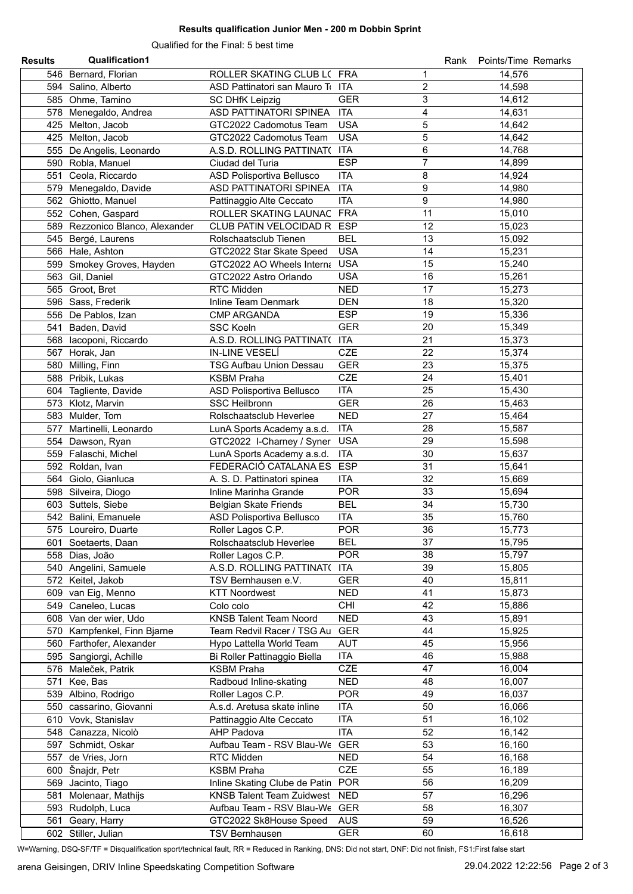### **Results qualification Junior Men - 200 m Dobbin Sprint**

Qualified for the Final: 5 best time

| <b>Results</b> | <b>Qualification1</b>           |                                  |            | Rank           | Points/Time Remarks |
|----------------|---------------------------------|----------------------------------|------------|----------------|---------------------|
|                | 546 Bernard, Florian            | ROLLER SKATING CLUB L( FRA       |            | 1              | 14,576              |
|                | 594 Salino, Alberto             | ASD Pattinatori san Mauro To ITA |            | $\overline{c}$ | 14,598              |
|                | 585 Ohme, Tamino                | <b>SC DHfK Leipzig</b>           | <b>GER</b> | 3              | 14,612              |
|                | 578 Menegaldo, Andrea           | ASD PATTINATORI SPINEA           | <b>ITA</b> | $\overline{4}$ | 14,631              |
|                | 425 Melton, Jacob               | GTC2022 Cadomotus Team           | <b>USA</b> | 5              | 14,642              |
|                | 425 Melton, Jacob               | GTC2022 Cadomotus Team           | <b>USA</b> | 5              | 14,642              |
|                | 555 De Angelis, Leonardo        | A.S.D. ROLLING PATTINAT( ITA     |            | 6              | 14,768              |
|                | 590 Robla, Manuel               | Ciudad del Turia                 | <b>ESP</b> | $\overline{7}$ | 14,899              |
|                | 551 Ceola, Riccardo             | ASD Polisportiva Bellusco        | <b>ITA</b> | 8              | 14,924              |
|                | 579 Menegaldo, Davide           | ASD PATTINATORI SPINEA           | <b>ITA</b> | 9              | 14,980              |
|                | 562 Ghiotto, Manuel             | Pattinaggio Alte Ceccato         | <b>ITA</b> | 9              | 14,980              |
|                | 552 Cohen, Gaspard              | ROLLER SKATING LAUNAC            | <b>FRA</b> | 11             | 15,010              |
|                | 589 Rezzonico Blanco, Alexander | CLUB PATIN VELOCIDAD R           | <b>ESP</b> | 12             | 15,023              |
|                | 545 Bergé, Laurens              | Rolschaatsclub Tienen            | <b>BEL</b> | 13             | 15,092              |
|                | 566 Hale, Ashton                | GTC2022 Star Skate Speed         | <b>USA</b> | 14             | 15,231              |
|                | 599 Smokey Groves, Hayden       | GTC2022 AO Wheels Interna        | <b>USA</b> | 15             | 15,240              |
|                | 563 Gil, Daniel                 | GTC2022 Astro Orlando            | <b>USA</b> | 16             | 15,261              |
|                | 565 Groot, Bret                 | RTC Midden                       | <b>NED</b> | 17             | 15,273              |
|                | 596 Sass, Frederik              | Inline Team Denmark              | <b>DEN</b> | 18             | 15,320              |
|                | 556 De Pablos, Izan             | <b>CMP ARGANDA</b>               | <b>ESP</b> | 19             | 15,336              |
|                | 541 Baden, David                | <b>SSC Koeln</b>                 | <b>GER</b> | 20             | 15,349              |
|                | 568 lacoponi, Riccardo          | A.S.D. ROLLING PATTINAT(         | <b>ITA</b> | 21             | 15,373              |
|                | 567 Horak, Jan                  | IN-LINE VESELÍ                   | <b>CZE</b> | 22             | 15,374              |
|                |                                 |                                  |            | 23             |                     |
|                | 580 Milling, Finn               | <b>TSG Aufbau Union Dessau</b>   | <b>GER</b> |                | 15,375              |
|                | 588 Pribik, Lukas               | <b>KSBM Praha</b>                | <b>CZE</b> | 24             | 15,401              |
|                | 604 Tagliente, Davide           | ASD Polisportiva Bellusco        | <b>ITA</b> | 25             | 15,430              |
|                | 573 Klotz, Marvin               | <b>SSC Heilbronn</b>             | <b>GER</b> | 26             | 15,463              |
|                | 583 Mulder, Tom                 | Rolschaatsclub Heverlee          | <b>NED</b> | 27             | 15,464              |
| 577            | Martinelli, Leonardo            | LunA Sports Academy a.s.d.       | <b>ITA</b> | 28             | 15,587              |
|                | 554 Dawson, Ryan                | GTC2022 I-Charney / Syner        | <b>USA</b> | 29             | 15,598              |
|                | 559 Falaschi, Michel            | LunA Sports Academy a.s.d.       | <b>ITA</b> | 30             | 15,637              |
|                | 592 Roldan, Ivan                | FEDERACIÓ CATALANA ES            | <b>ESP</b> | 31             | 15,641              |
|                | 564 Giolo, Gianluca             | A. S. D. Pattinatori spinea      | <b>ITA</b> | 32             | 15,669              |
|                | 598 Silveira, Diogo             | Inline Marinha Grande            | <b>POR</b> | 33             | 15,694              |
|                | 603 Suttels, Siebe              | <b>Belgian Skate Friends</b>     | <b>BEL</b> | 34             | 15,730              |
|                | 542 Balini, Emanuele            | ASD Polisportiva Bellusco        | <b>ITA</b> | 35             | 15,760              |
|                | 575 Loureiro, Duarte            | Roller Lagos C.P.                | <b>POR</b> | 36             | 15.773              |
|                | 601 Soetaerts, Daan             | Rolschaatsclub Heverlee          | <b>BEL</b> | 37             | 15,795              |
|                | 558 Dias, João                  | Roller Lagos C.P.                | <b>POR</b> | 38             | 15,797              |
|                | 540 Angelini, Samuele           | A.S.D. ROLLING PATTINAT(         | <b>ITA</b> | 39             | 15,805              |
|                | 572 Keitel, Jakob               | TSV Bernhausen e.V.              | <b>GER</b> | 40             | 15,811              |
|                | 609 van Eig, Menno              | <b>KTT Noordwest</b>             | <b>NED</b> | 41             | 15,873              |
|                | 549 Caneleo, Lucas              | Colo colo                        | <b>CHI</b> | 42             | 15,886              |
|                | 608 Van der wier, Udo           | <b>KNSB Talent Team Noord</b>    | <b>NED</b> | 43             | 15,891              |
|                | 570 Kampfenkel, Finn Bjarne     | Team Redvil Racer / TSG Au       | <b>GER</b> | 44             | 15,925              |
|                | 560 Farthofer, Alexander        | Hypo Lattella World Team         | <b>AUT</b> | 45             | 15,956              |
|                | 595 Sangiorgi, Achille          | Bi Roller Pattinaggio Biella     | <b>ITA</b> | 46             | 15,988              |
|                | 576 Maleček, Patrik             | <b>KSBM Praha</b>                | <b>CZE</b> | 47             | 16,004              |
|                | 571 Kee, Bas                    | Radboud Inline-skating           | <b>NED</b> | 48             | 16,007              |
|                | 539 Albino, Rodrigo             | Roller Lagos C.P.                | <b>POR</b> | 49             | 16,037              |
|                | 550 cassarino, Giovanni         | A.s.d. Aretusa skate inline      | <b>ITA</b> | 50             | 16,066              |
|                | 610 Vovk, Stanislav             | Pattinaggio Alte Ceccato         | <b>ITA</b> | 51             | 16,102              |
|                | 548 Canazza, Nicolò             | <b>AHP Padova</b>                | <b>ITA</b> | 52             | 16,142              |
|                | 597 Schmidt, Oskar              | Aufbau Team - RSV Blau-We        | <b>GER</b> | 53             | 16,160              |
|                | 557 de Vries, Jorn              | RTC Midden                       | <b>NED</b> | 54             | 16,168              |
|                | 600 Šnajdr, Petr                | <b>KSBM Praha</b>                | <b>CZE</b> | 55             | 16,189              |
|                | 569 Jacinto, Tiago              | Inline Skating Clube de Patin    | <b>POR</b> | 56             | 16,209              |
|                | 581 Molenaar, Mathijs           | <b>KNSB Talent Team Zuidwest</b> | <b>NED</b> | 57             | 16,296              |
|                | 593 Rudolph, Luca               | Aufbau Team - RSV Blau-We GER    |            | 58             | 16,307              |
|                | 561 Geary, Harry                | GTC2022 Sk8House Speed           | <b>AUS</b> | 59             | 16,526              |
|                | 602 Stiller, Julian             | <b>TSV Bernhausen</b>            | GER        | 60             | 16,618              |

W=Warning, DSQ-SF/TF = Disqualification sport/technical fault, RR = Reduced in Ranking, DNS: Did not start, DNF: Did not finish, FS1:First false start